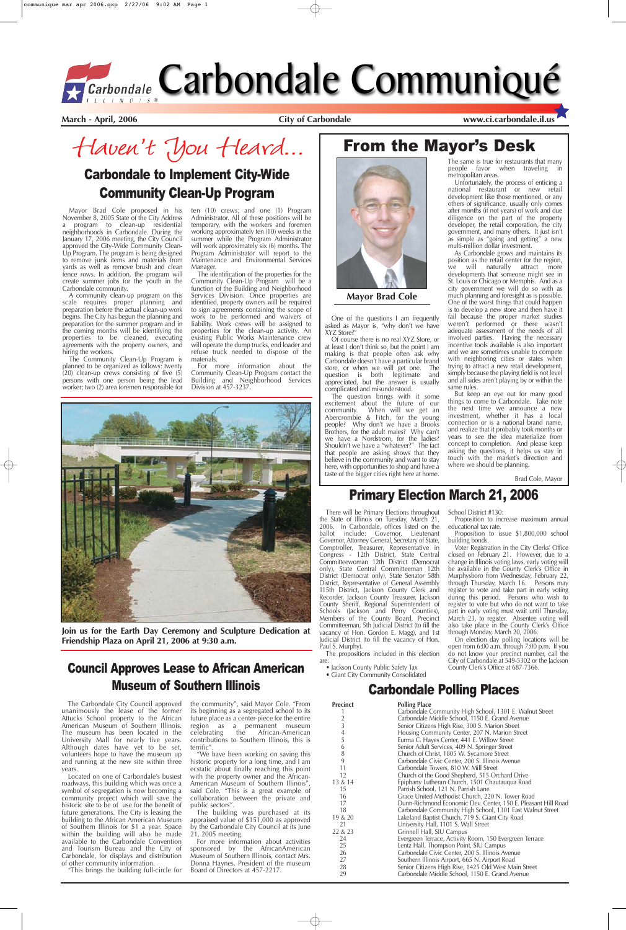Mayor Brad Cole proposed in his November 8, 2005 State of the City Address program to clean-up residential neighborhoods in Carbondale. During the January 17, 2006 meeting, the City Council approved the City-Wide Community Clean-Up Program. The program is being designed to remove junk items and materials from yards as well as remove brush and clean fence rows. In addition, the program will create summer jobs for the youth in the Carbondale community.

A community clean-up program on this scale requires proper planning and preparation before the actual clean-up work begins. The City has begun the planning and preparation for the summer program and in the coming months will be identifying the properties to be cleaned, executing agreements with the property owners, and hiring the workers.

The Community Clean-Up Program is planned to be organized as follows: twenty  $(20)$  clean-up crews consisting of five  $(5)$ persons with one person being the lead worker; two (2) area foremen responsible for ten (10) crews; and one (1) Program Administrator. All of these positions will be temporary, with the workers and foremen working approximately ten (10) weeks in the summer while the Program Administrator will work approximately six (6) months. The Program Administrator will report to the Maintenance and Environmental Services Manager.

The identification of the properties for the Community Clean-Up Program will be a function of the Building and Neighborhood Services Division. Once properties are identified, property owners will be required to sign agreements containing the scope of work to be performed and waivers of liability. Work crews will be assigned to properties for the clean-up activity. An existing Public Works Maintenance crew will operate the dump trucks, end loader and refuse truck needed to dispose of the materials.

For more information about the Community Clean-Up Program contact the Building and Neighborhood Services Division at 457-3237.

**March - April, 2006 City of Carbondale www.ci.carbondale.il.us**

Haven't You Heard...

# From the Mayor's Desk



# Carbondale to Implement City-Wide Community Clean-Up Program



**Join us for the Earth Day Ceremony and Sculpture Dedication at Friendship Plaza on April 21, 2006 at 9:30 a.m.**

There will be Primary Elections throughout the State of Illinois on Tuesday, March 21, 2006. In Carbondale, offices listed on the ballot include: Governor, Lieutenant Governor, Attorney General, Secretary of State, Comptroller, Treasurer, Representative in Congress - 12th District, State Central Committeewoman 12th District (Democrat only), State Central Committeeman 12th District (Democrat only), State Senator 58th District, Representative of General Assembly 115th District, Jackson County Clerk and Recorder, Jackson County Treasurer, Jackson County Sheriff, Regional Superintendent of Schools (Jackson and Perry Counties), Members of the County Board, Precinct Committeeman, 5th Judicial District (to fill the vacancy of Hon. Gordon E. Magg), and 1st Judicial District (to fill the vacancy of Hon.

Paul S. Murphy).

The propositions included in this election are:

• Jackson County Public Safety Tax

• Giant City Community Consolidated

School District #130:

Proposition to increase maximum annual educational tax rate.

Proposition to issue \$1,800,000 school building bonds.

Voter Registration in the City Clerks' Office closed on February 21. However, due to a change in Illinois voting laws, early voting will be available in the County Clerk's Office in Murphysboro from Wednesday, February 22, through Thursday, March 16. Persons may register to vote and take part in early voting during this period. Persons who wish to register to vote but who do not want to take part in early voting must wait until Thursday, March 23, to register. Absentee voting will also take place in the County Clerk's Office through Monday, March 20, 2006.

On election day polling locations will be open from 6:00 a.m. through 7:00 p.m. If you do not know your precinct number, call the

City of Carbondale at 549-5302 or the Jackson

County Clerk's Office at 687-7366.

### Primary Election March 21, 2006

The Carbondale City Council approved unanimously the lease of the former Attucks School property to the African American Museum of Southern Illinois. The museum has been located in the University Mall for nearly five years. Although dates have yet to be set, volunteers hope to have the museum up and running at the new site within three years.

Located on one of Carbondale's busiest roadways, this building which was once a symbol of segregation is now becoming a community project which will save the historic site to be of use for the benefit of future generations. The City is leasing the building to the African American Museum of Southern Illinois for \$1 a year. Space within the building will also be made available to the Carbondale Convention and Tourism Bureau and the City of Carbondale, for displays and distribution of other community information.

"This brings the building full-circle for

the community", said Mayor Cole. "From its beginning as a segregated school to its future place as a center-piece for the entire region as a permanent museum celebrating the African-American contributions to Southern Illinois, this is terrific".

"We have been working on saving this historic property for a long time, and I am ecstatic about finally reaching this point with the property owner and the African-American Museum of Southern Illinois", said Cole. "This is a great example of collaboration between the private and public sectors".

The building was purchased at its appraised value of \$151,000 as approved by the Carbondale City Council at its June 21, 2005 meeting.

For more information about activities sponsored by the AfricanAmerican Museum of Southern Illinois, contact Mrs. Donna Haynes, President of the museum Board of Directors at 457-2217.

# Council Approves Lease to African American Museum of Southern Illinois

| Precinct         | <b>Polling Place</b>                                          |
|------------------|---------------------------------------------------------------|
|                  | Carbondale Community High School, 1301 E. Walnut Street       |
| 2                | Carbondale Middle School, 1150 E. Grand Avenue                |
| $\overline{3}$   | Senior Citizens High Rise, 300 S. Marion Street               |
|                  | Housing Community Center, 207 N. Marion Street                |
| $\frac{4}{5}$    | Eurma C. Hayes Center, 441 E. Willow Street                   |
| $\boldsymbol{6}$ | Senior Adult Services, 409 N. Springer Street                 |
| $\, 8$           | Church of Christ, 1805 W. Sycamore Street                     |
| 9                | Carbondale Civic Center, 200 S. Illinois Avenue               |
| 11               | Carbondale Towers, 810 W. Mill Street                         |
| 12               | Church of the Good Shepherd, 515 Orchard Drive                |
| 13 & 14          | Epiphany Lutheran Church, 1501 Chautauqua Road                |
| 15               | Parrish School, 121 N. Parrish Lane                           |
| 16               | Grace United Methodist Church, 220 N. Tower Road              |
| 17               | Dunn-Richmond Economic Dev. Center, 150 E. Pleasant Hill Road |
| 18               | Carbondale Community High School, 1301 East Walnut Street     |
| 19 & 20          | Lakeland Baptist Church, 719 S. Giant City Road               |
| 21               | University Hall, 1101 S. Wall Street                          |
| 22 & 23          | Grinnell Hall, SIU Campus                                     |
| 24               | Evergreen Terrace, Activity Room, 150 Evergreen Terrace       |
| 25               | Lentz Hall, Thompson Point, SIU Campus                        |
| 26               | Carbondale Civic Center, 200 S. Illinois Avenue               |
| 27               | Southern Illinois Airport, 665 N. Airport Road                |
| 28               | Senior Citizens High Rise, 1425 Old West Main Street          |
| 29               | Carbondale Middle School, 1150 E. Grand Avenue                |

### Carbondale Polling Places

One of the questions I am frequently asked as Mayor is, "why don't we have

XYZ Store?"

Of course there is no real XYZ Store, or at least I don't think so, but the point I am making is that people often ask why Carbondale doesn't have a particular brand store, or when we will get one. The question is both legitimate and appreciated, but the answer is usually

complicated and misunderstood.

The question brings with it some excitement about the future of our community. When will we get an Abercrombie & Fitch, for the young people? Why don't we have a Brooks Brothers, for the adult males? Why can't we have a Nordstrom, for the ladies? Shouldn't we have a "whatever?" The fact that people are asking shows that they believe in the community and want to stay here, with opportunities to shop and have a taste of the bigger cities right here at home.

The same is true for restaurants that many people favor when traveling in metropolitan areas.

Unfortunately, the process of enticing a national restaurant or new retail development like those mentioned, or any others of significance, usually only comes after months (if not years) of work and due diligence on the part of the property developer, the retail corporation, the city government, and many others. It just isn't as simple as "going and getting" a new multi-million dollar investment.

As Carbondale grows and maintains its position as the retail center for the region, we will naturally attract more developments that someone might see in St. Louis or Chicago or Memphis. And as a city government we will do so with as much planning and foresight as is possible. One of the worst things that could happen is to develop a new store and then have it fail because the proper market studies weren't performed or there wasn't adequate assessment of the needs of all involved parties. Having the necessary incentive tools available is also important and we are sometimes unable to compete with neighboring cities or states when trying to attract a new retail development, simply because the playing field is not level and all sides aren't playing by or within the same rules.

But keep an eye out for many good things to come to Carbondale. Take note the next time we announce a new investment, whether it has a local connection or is a national brand name. and realize that it probably took months or years to see the idea materialize from concept to completion. And please keep asking the questions, it helps us stay in touch with the market's direction and where we should be planning.

Brad Cole, Mayor

**Mayor Brad Cole**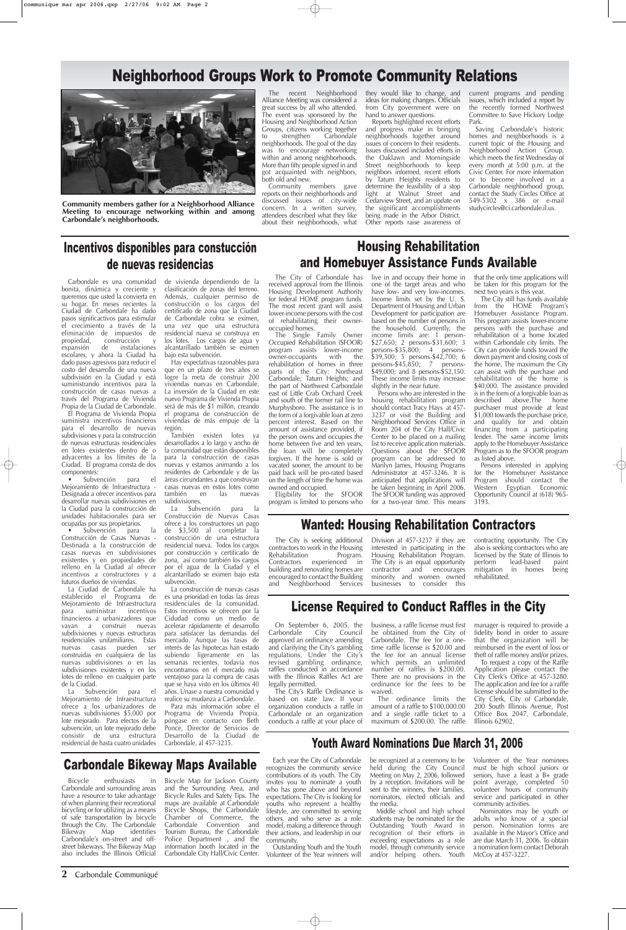**2** Carbondale Communiqué

## Incentivos disponibles para constucción de nuevas residencias

# Neighborhood Groups Work to Promote Community Relations



**Community members gather for a Neighborhood Alliance Meeting to encourage networking within and among Carbondale's neighborhoods.**

Carbondale es una comunidad bonita, dinámica y creciente y queremos que usted la convierta en su hogar. En meses recientes la Ciudad de Carbondale ha dado pasos significactivos para estimular el crecimiento a través de la eliminación de impuestos de propiedad, construcción y<br>expansión de instalaciones instalaciones escolares, y ahora la Ciudad ha dado pasos agresivos para reducir el costo del desarrollo de una nueva subdivisión en la Ciudad y está suministrando incentivos para la construcción de casas nuevas a través del Programa de Vivienda Propia de la Ciudad de Carbondale.

El Programa de Vivienda Propia suministra incentivos financieros para el desarrollo de nuevas subdivisiones y para la construcción de nuevas estructuras residenciales en lotes existentes dentro de o adyacentes a los límites de la Ciudad. El programa consta de dos componentes:

• Subvención para el Mejoramiento de Infraestructura - Designada a ofrecer incentivos para desarrollar nuevas subdivisiones en la Ciudad para la construcción de unidades habitacionales para ser ocupadas por sus propietarios.

• Subvención para la Construcción de Casas Nuevas - Destinada a la construcción de casas nuevas en subdivisiones existentes y en propiedades de relleno en la Ciudad al ofrecer incentivos a constructores y a futuros dueños de viviendas.

La Ciudad de Carbondale ha establecido el Programa de Mejoramiento de Infraestructura para suministrar incentivos financieros a urbanizadores que vayan a construir nuevas subdivisiones y nuevas estructuras residenciales unifamiliares. Estas nuevas casas pueden ser construidas en cualquiera de las nuevas subdivisiones o en las subdivisiones existentes y en los lotes de relleno en cualquier parte de la Ciudad. La Subvención para el Mejoramiento de Infraestructura ofrece a los urbanizadores de nuevas subdivisiones \$5,000 por lote mejorado. Para efectos de la subvención, un lote mejorado debe consistir de una estructura residencial de hasta cuatro unidades

de vivienda dependiendo de la clasificación de zonas del terreno. Además, cualquier permiso de construcción o los cargos del certificado de zona que la Ciudad de Carbondale cobra se eximen, una vez que una estructura residencial nueva se construya en los lotes. Los cargos de agua y alcantarillado también se eximen bajo esta subvención.

Hay expectativas razonables para que en un plazo de tres años se logre la meta de construir 200 viviendas nuevas en Carbondale. La inversión de la Ciudad en este nuevo Programa de Vivienda Propia será de más de \$1 millón, creando el programa de construcción de viviendas de más empuje de la región.

También existen lotes ya desarrollados a lo largo y ancho de la comunidad que están disponibles para la construcción de casas nuevas y estamos animando a los residentes de Carbondale y de las áreas circundantes a que construyan casas nuevas en estos lotes como también en las nuevas subdivisiones.

La Subvención para la Construcción de Nuevas Casas ofrece a los constructores un pago de \$3,500 al completar la construcción de una estructura residencial nueva. Todos los cargos por construcción y certificado de zona, así como también los cargos por el agua de la Ciudad y el alcantarillado se eximen bajo esta subvención.

La construcción de nuevas casas es una prioridad en todas las áreas residenciales de la comunidad. Estos incentivos se ofrecen por la Cidudad como un medio de acelerar rápidamente el desarrollo para satisfacer las demandas del mercado. Aunque las tasas de interés de las hipotecas han estado subiendo ligeramente en las semanas recientes, todavía nos encontramos en el mercado más ventajoso para la compra de casas que se haya visto en los últimos 40 años. Únase a nuestra comunidad y

realice su mudanza a Carbondale. Para más información sobre el Programa de Vivienda Propia, póngase en contacto con Beth Ponce, Director de Servicios de Desarrollo de la Ciudad de Carbondale, al 457-3235.

### Housing Rehabilitation and Homebuyer Assistance Funds Available

received approval from the Illinois Housing Development Authority for federal HOME program funds. The most recent grant will assist lower-income persons with the cost of rehabilitating their owneroccupied homes.

regulations. Under the City's revised gambling ordinance, raffles conducted in accordance with the Illinois Raffles Act are legally permitted.

The Single Family Owner Occupied Rehabilitation (SFOOR) program assists lower-income<br>owner-occupants with the owner-occupants with the rehabilitation of homes in three parts of the City: Northeast Carbondale; Tatum Heights; and the part of Northwest Carbondale east of Little Crab Orchard Creek and south of the former rail line to Murphysboro. The assistance is in the form of a forgivable loan at zero percent interest. Based on the amount of assistance provided, if the person owns and occupies the home between five and ten years, the loan will be completely forgiven. If the home is sold or vacated sooner, the amount to be paid back will be pro-rated based on the length of time the home was owned and occupied.

The City of Carbondale has live in and occupy their home in one of the target areas and who have low- and very low-incomes. Income limits set by the U. S. Department of Housing and Urban Development for participation are based on the number of persons in the household. Currently, the income limits are: 1 person- \$27,650; 2 persons-\$31,600; 3 persons-\$35,800; 4 persons- \$39,500; 5 persons-\$42,700; 6 persons-\$45,850; 7 persons- \$49,000; and 8 persons-\$52,150. These income limits may increase slightly in the near future.

Eligibility for the SFOOR program is limited to persons who

Persons who are interested in the housing rehabilitation program should contact Tracy Hays at 457- 3237 or visit the Building and Neighborhood Services Office in Room 204 of the City Hall/Civic Center to be placed on a mailing list to receive application materials. Questions about the SFOOR program can be addressed to Marilyn James, Housing Programs Administrator at 457-3246. It is anticipated that applications will be taken beginning in April 2006. The SFOOR funding was approved for a two-year time. This means that the only time applications will be taken for this program for the next two years is this year.

The City still has funds available from the HOME Program's Homebuyer Assistance Program. This program assists lower-income persons with the purchase and rehabilitation of a home located within Carbondale city limits. The City can provide funds toward the down payment and closing costs of the home. The maximum the City can assist with the purchase and rehabilitation of the home is \$40,000. The assistance provided is in the form of a forgivable loan as described above.The home purchaser must provide at least \$1,000 towards the purchase price, and qualify for and obtain financing from a participating lender. The same income limits apply to the Homebuyer Assistance Program as to the SFOOR program as listed above.

Persons interested in applying for the Homebuyer Assistance Program should contact the Western Egyptian Economic Opportunity Council at (618) 965- 3193.

### Wanted: Housing Rehabilitation Contractors

The City is seeking additional contractors to work in the Housing<br>Rehabilitation Program. Rehabilitation Contractors experienced in building and renovating homes are encouraged to contact the Building and Neighborhood Services

Division at 457-3237 if they are interested in participating in the Housing Rehabilitation Program. The City is an equal opportunity contractor and encourages minority and women owned businesses to consider this

contracting opportunity. The City also is seeking contractors who are licensed by the State of Illinois to perform lead-based paint<br>mitigation in homes being mitigation in homes rehabilitated.

### Carbondale Bikeway Maps Available

Bicycle enthusiasts in Carbondale and surrounding areas have a resource to take advantage of when planning their recreational bicycling or for utilizing as a means of safe transportation by bicycle through the City. The Carbondale Bikeway Map identifies Carbondale's on-street and offstreet bikeways. The Bikeway Map also includes the Illinois Official

Bicycle Map for Jackson County and the Surrounding Area, and Bicycle Rules and Safety Tips. The maps are available at Carbondale Bicycle Shops, the Carbondale Chamber of Commerce, the Carbondale Convention and Tourism Bureau, the Carbondale Police Department , and the information booth located in the Carbondale City Hall/Civic Center.

#### License Required to Conduct Raffles in the City

and clarifying the City's gambling

On September 6, 2005, the business, a raffle license must first Carbondale City Council be obtained from the City of approved an ordinance amending Carbondale. The fee for a onetime raffle license is \$20.00 and

The City's Raffle Ordinance is based on state law. If your organization conducts a raffle in Carbondale or an organization conducts a raffle at your place of the fee for an annual license which permits an unlimited number of raffles is \$200.00. There are no provisions in the ordinance for the fees to be waived.

The ordinance limits the amount of a raffle to \$100,000.00 and a single raffle ticket to a maximum of \$200.00. The raffle

manager is required to provide a fidelity bond in order to assure that the organization will be reimbursed in the event of loss or

theft of raffle money and/or prizes. To request a copy of the Raffle Application please contact the City Clerk's Office at 457-3280. The application and fee for a raffle license should be submitted to the City Clerk, City of Carbondale, 200 South Illinois Avenue, Post Office Box 2047, Carbondale, Illinois 62902.

# Youth Award Nominations Due March 31, 2006

Each year the City of Carbondale recognizes the community service contributions of its youth. The City invites you to nominate a youth who has gone above and beyond expectations. The City is looking for youths who represent a healthy lifestyle, are committed to serving others, and who serve as a role model, making a difference through their actions, and leadership in our community.

Outstanding Youth and the Youth Volunteer of the Year winners will be recognized at a ceremony to be held during the City Council Meeting on May 2, 2006, followed by a reception. Invitations will be sent to the winners, their families, nominators, elected officials and the media.

Middle school and high school students may be nominated for the Outstanding Youth Award in recognition of their efforts in exceeding expectations as a role model, through community service and/or helping others. Youth

Volunteer of the Year nominees must be high school juniors or seniors, have a least a B+ grade point average, completed 50 volunteer hours of community service and participated in other community activities.

Nominators may be youth or adults who know of a special person. Nomination forms are available in the Mayor's Office and are due March 31, 2006. To obtain a nomination form contact Deborah McCoy at 457-3227.

The recent Neighborhood Alliance Meeting was considered a great success by all who attended. The event was sponsored by the Housing and Neighborhood Action Groups, citizens working together<br>to strengthen Carbondale to strengthen Carbondale neighborhoods. The goal of the day was to encourage networking within and among neighborhoods. More than fifty people signed in and got acquainted with neighbors, both old and new.

Community members gave reports on their neighborhoods and discussed issues of city-wide concern. In a written survey, attendees described what they like about their neighborhoods, what they would like to change, and ideas for making changes. Officials from City government were on hand to answer questions.

Reports highlighted recent efforts and progress make in bringing neighborhoods together around issues of concern to their residents. Issues discussed included efforts in the Oaklawn and Morningside Street neighborhoods to keep neighbors informed, recent efforts by Tatum Heights residents to determine the feasibility of a stop light at Walnut Street and Cedarview Street, and an update on the significant accomplishments being made in the Arbor District. Other reports raise awareness of

current programs and pending issues, which included a report by the recently formed Northwest Committee to Save Hickory Lodge Park.

Saving Carbondale's historic homes and neighborhoods is a current topic of the Housing and Neighborhood Action Group, which meets the first Wednesday of every month at 5:00 p.m. at the Civic Center. For more information or to become involved in a Carbondale neighborhood group, contact the Study Circles Office at 549-5302 x 386 or e-mail studycircles@ci.carbondale.il.us.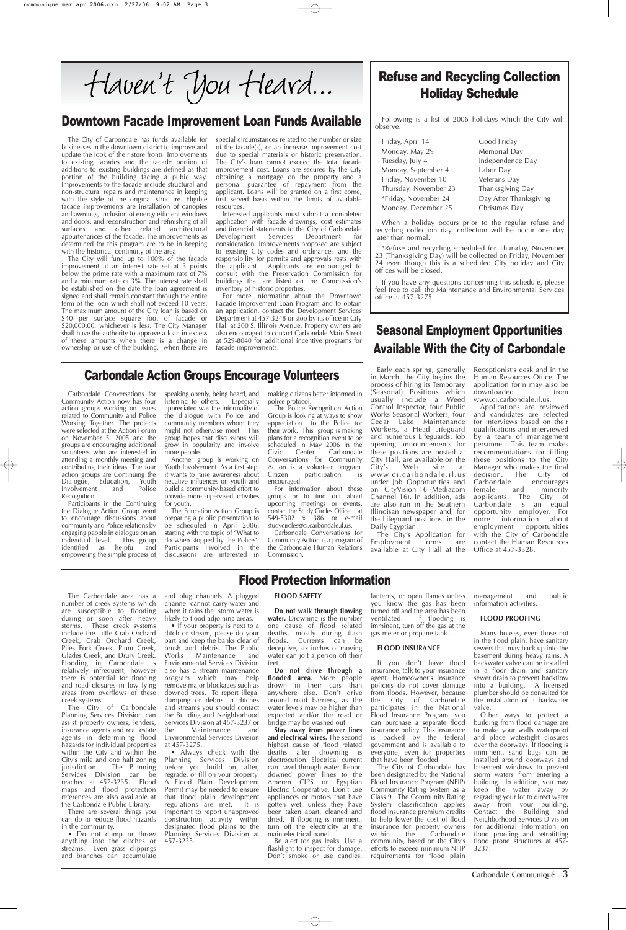The Carbondale area has a number of creek systems which are susceptible to flooding during or soon after heavy storms. These creek systems include the Little Crab Orchard Creek, Crab Orchard Creek, Piles Fork Creek, Plum Creek,

Glades Creek, and Drury Creek. Flooding in Carbondale is relatively infrequent, however there is potential for flooding and road closures in low lying areas from overflows of these creek systems.

The City of Carbondale Planning Services Division can assist property owners, lenders, insurance agents and real estate agents in determining flood hazards for individual properties within the City and within the City's mile and one half zoning jurisdiction. The Planning Services Division can be reached at 457-3235. Flood maps and flood protection references are also available at the Carbondale Public Library.

• If your property is next to a ditch or stream, please do your part and keep the banks clear of brush and debris. The Public Works Maintenance and Environmental Services Division also has a stream maintenance program which may help remove major blockages such as downed trees. To report illegal dumping or debris in ditches and streams you should contact the Building and Neighborhood Services Division at 457-3237 or the Maintenance and Environmental Services Division

There are several things you can do to reduce flood hazards in the community.

• Do not dump or throw anything into the ditches or streams. Even grass clippings and branches can accumulate

and plug channels. A plugged channel cannot carry water and when it rains the storm water is likely to flood adjoining areas.

at 457-3275. • Always check with the Planning Services Division before you build on, alter, regrade, or fill on your property. A Flood Plain Development Permit may be needed to ensure that flood plain development<br>regulations are met. It is regulations are met. important to report unapproved construction activity within designated flood plains to the Planning Services Division at 457-3235.

#### **FLOOD SAFETY**

**Do not walk through flowing water.** Drowning is the number one cause of flood related deaths, mostly during flash floods. Currents can be deceptive, six inches of moving

water can jolt a person off their feet.

**Do not drive through a flooded area.** More people drown in their cars than anywhere else. Don't drive around road barriers, as the water levels may be higher than expected and/or the road or bridge may be washed out.

**Stay away from power lines and electrical wires.** The second highest cause of flood related deaths after drowning is electrocution. Electrical current can travel through water. Report downed power lines to the Ameren CIPS or Egyptian Electric Cooperative. Don't use appliances or motors that have gotten wet, unless they have been taken apart, cleaned and dried. If flooding is imminent, turn off the electricity at the main electrical panel.

Be alert for gas leaks. Use a flashlight to inspect for damage. Don't smoke or use candles,

lanterns, or open flames unless you know the gas has been turned off and the area has been ventilated. If flooding is imminent, turn off the gas at the gas meter or propane tank.

#### **FLOOD INSURANCE**

If you don't have flood insurance, talk to your insurance agent. Homeowner's insurance policies do not cover damage from floods. However, because the City of Carbondale participates in the National Flood Insurance Program, you can purchase a separate flood insurance policy. This insurance is backed by the federal government and is available to everyone, even for properties that have been flooded.

The City of Carbondale has been designated by the National Flood Insurance Program (NFIP) Community Rating System as a Class 9. The Community Rating System classification applies flood insurance premium credits to help lower the cost of flood insurance for property owners<br>within the Carbondale Carbondale community, based on the City's efforts to exceed minimum NFIP requirements for flood plain

management and public information activities.

#### **FLOOD PROOFING**

Many houses, even those not in the flood plain, have sanitary sewers that may back up into the

basement during heavy rains. A backwater valve can be installed in a floor drain and sanitary sewer drain to prevent backflow into a building. A licensed plumber should be consulted for the installation of a backwater valve.

Other ways to protect a building from flood damage are to make your walls waterproof and place watertight closures over the doorways. If flooding is imminent, sand bags can be installed around doorways and basement windows to prevent storm waters from entering a building. In addition, you may keep the water away by regrading your lot to direct water away from your building. Contact the Building and Neighborhood Services Division for additional information on flood proofing and retrofitting flood prone structures at 457- 3237.

Carbondale Communiqué **3**

Friday, April 14 **Good Friday** Monday, May 29 Memorial Day Tuesday, July 4 Independence Day Monday, September 4 Labor Day Friday, November 10 Veterans Day Thursday, November 23 Thanksgiving Day \*Friday, November 24 Day After Thanksgiving Monday, December 25 Christmas Day

The City of Carbondale has funds available for businesses in the downtown district to improve and update the look of their store fronts. Improvements to existing facades and the facade portion of additions to existing buildings are defined as that portion of the building facing a pubic way. Improvements to the facade include structural and non-structural repairs and maintenance in keeping with the style of the original structure. Eligible facade improvements are installation of canopies and awnings, inclusion of energy efficient windows and doors, and reconstruction and refinishing of all surfaces and other related architectural appurtenances of the facade. The improvements as determined for this program are to be in keeping with the historical continuity of the area.

The City will fund up to 100% of the facade improvement at an interest rate set at 3 points below the prime rate with a maximum rate of 7% and a minimum rate of 3%. The interest rate shall be established on the date the loan agreement is signed and shall remain constant through the entire term of the loan which shall not exceed 10 years. The maximum amount of the City loan is based on \$40 per surface square foot of facade or \$20,000.00, whichever is less. The City Manager shall have the authority to approve a loan in excess of these amounts when there is a change in ownership or use of the building, when there are special circumstances related to the number or size of the facade(s), or an increase improvement cost due to special materials or historic preservation. The City's loan cannot exceed the total facade improvement cost. Loans are secured by the City obtaining a mortgage on the property and a personal guarantee of repayment from the applicant. Loans will be granted on a first come, first served basis within the limits of available resources.

Interested applicants must submit a completed application with facade drawings, cost estimates and financial statements to the City of Carbondale<br>Development Services Department for Development Services Department for consideration. Improvements proposed are subject to existing City codes and ordinances and the responsibility for permits and approvals rests with the applicant. Applicants are encouraged to consult with the Preservation Commission for buildings that are listed on the Commission's inventory of historic properties.

For more information about the Downtown Facade Improvement Loan Program and to obtain an application, contact the Development Services Department at 457-3248 or stop by its office in City Hall at 200 S. Illinois Avenue. Property owners are also encouraged to contact Carbondale Main Street at 529-8040 for additional incentive programs for facade improvements.

### Downtown Facade Improvement Loan Funds Available

Flood Protection Information

Carbondale Conversations for Community Action now has four action groups working on issues related to Community and Police Working Together. The projects were selected at the Action Forum on November 5, 2005 and the groups are encouraging additional volunteers who are interested in attending a monthly meeting and contributing their ideas. The four action groups are Continuing the Dialogue, Education, Youth<br>Involvement and Police Involvement Recognition.

Participants in the Continuing the Dialogue Action Group want to encourage discussions about community and Police relations by engaging people in dialogue on an individual level. This group identified as helpful and empowering the simple process of

speaking openly, being heard, and listening to others. Especially appreciated was the informality of the dialogue with Police and community members whom they might not otherwise meet. This group hopes that discussions will grow in popularity and involve more people.

Another group is working on Youth Involvement. As a first step, it wants to raise awareness about negative influences on youth and build a community-based effort to provide more supervised activities for youth.

The Education Action Group is preparing a public presentation to be scheduled in April 2006, starting with the topic of "What to do when stopped by the Police". Participants involved in the discussions are interested in making citizens better informed in police protocol.

The Police Recognition Action Group is looking at ways to show appreciation to the Police for their work. This group is making plans for a recognition event to be scheduled in May 2006 in the<br>Civic Center. Carbondale Center. Conversations for Community Action is a volunteer program. Citizen participation is encouraged.

For information about these groups or to find out about upcoming meetings or events, contact the Study Circles Office at 549-5302 x 386 or e-mail studycircles@ci.carbondale.il.us.

Carbondale Conversations for Community Action is a program of the Carbondale Human Relations Commission.

#### Carbondale Action Groups Encourage Volunteers

### Refuse and Recycling Collection Holiday Schedule

Following is a list of 2006 holidays which the City will observe:

When a holiday occurs prior to the regular refuse and recycling collection day, collection will be occur one day later than normal.

\*Refuse and recycling scheduled for Thursday, November 23 (Thanksgiving Day) will be collected on Friday, November 24 even though this is a scheduled City holiday and City offices will be closed.

If you have any questions concerning this schedule, please feel free to call the Maintenance and Environmental Services office at 457-3275.

Seasonal Employment Opportunities

## Available With the City of Carbondale Early each spring, generally

in March, the City begins the process of hiring its Temporary (Seasonal) Positions which usually include a Weed Control Inspector, four Public Works Seasonal Workers, four Cedar Lake Maintenance Workers, a Head Lifeguard and numerous Lifeguards. Job opening announcements for these positions are posted at City Hall, are available on the<br>City's Web site at City's Web site at www.ci.carbondale.il.us under Job Opportunities and on CityVision 16 (Mediacom Channel 16). In addition, ads are also run in the Southern Illinoisan newspaper and, for the Lifeguard positions, in the Daily Egyptian.

The City's Application for Employment forms are available at City Hall at the Receptionist's desk and in the Human Resources Office. The application form may also be downloaded from www.ci.carbondale.il.us.

Applications are reviewed and candidates are selected for interviews based on their qualifications and interviewed by a team of management personnel. This team makes recommendations for filling these positions to the City Manager who makes the final<br>decision. The City of The City of<br>encourages Carbondale<br>female and minority applicants. The City of Carbondale is an equal opportunity employer. For more information about employment opportunities with the City of Carbondale contact the Human Resources Office at 457-3328.

Haven't you Heard...